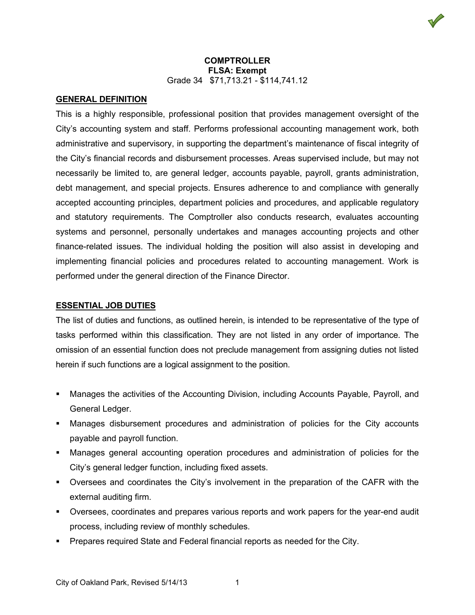## **GENERAL DEFINITION**

This is a highly responsible, professional position that provides management oversight of the City's accounting system and staff. Performs professional accounting management work, both administrative and supervisory, in supporting the department's maintenance of fiscal integrity of the City's financial records and disbursement processes. Areas supervised include, but may not necessarily be limited to, are general ledger, accounts payable, payroll, grants administration, debt management, and special projects. Ensures adherence to and compliance with generally accepted accounting principles, department policies and procedures, and applicable regulatory and statutory requirements. The Comptroller also conducts research, evaluates accounting systems and personnel, personally undertakes and manages accounting projects and other finance-related issues. The individual holding the position will also assist in developing and implementing financial policies and procedures related to accounting management. Work is performed under the general direction of the Finance Director.

### **ESSENTIAL JOB DUTIES**

The list of duties and functions, as outlined herein, is intended to be representative of the type of tasks performed within this classification. They are not listed in any order of importance. The omission of an essential function does not preclude management from assigning duties not listed herein if such functions are a logical assignment to the position.

- Manages the activities of the Accounting Division, including Accounts Payable, Payroll, and General Ledger.
- Manages disbursement procedures and administration of policies for the City accounts payable and payroll function.
- Manages general accounting operation procedures and administration of policies for the City's general ledger function, including fixed assets.
- Oversees and coordinates the City's involvement in the preparation of the CAFR with the external auditing firm.
- Oversees, coordinates and prepares various reports and work papers for the year-end audit process, including review of monthly schedules.
- Prepares required State and Federal financial reports as needed for the City.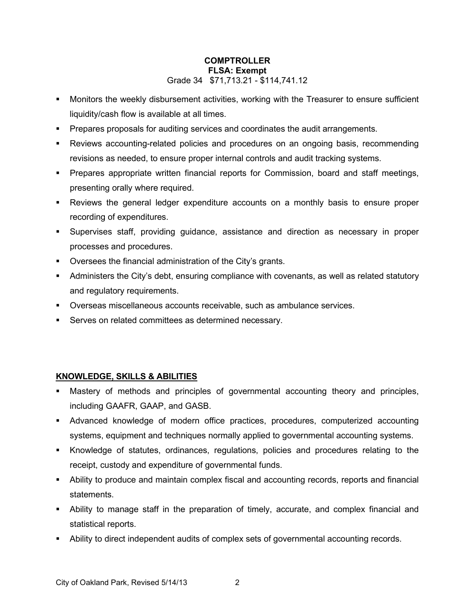- Monitors the weekly disbursement activities, working with the Treasurer to ensure sufficient liquidity/cash flow is available at all times.
- **Prepares proposals for auditing services and coordinates the audit arrangements.**
- Reviews accounting-related policies and procedures on an ongoing basis, recommending revisions as needed, to ensure proper internal controls and audit tracking systems.
- **Prepares appropriate written financial reports for Commission, board and staff meetings,** presenting orally where required.
- Reviews the general ledger expenditure accounts on a monthly basis to ensure proper recording of expenditures.
- Supervises staff, providing guidance, assistance and direction as necessary in proper processes and procedures.
- **•** Oversees the financial administration of the City's grants.
- Administers the City's debt, ensuring compliance with covenants, as well as related statutory and regulatory requirements.
- Overseas miscellaneous accounts receivable, such as ambulance services.
- **Serves on related committees as determined necessary.**

# **KNOWLEDGE, SKILLS & ABILITIES**

- Mastery of methods and principles of governmental accounting theory and principles, including GAAFR, GAAP, and GASB.
- Advanced knowledge of modern office practices, procedures, computerized accounting systems, equipment and techniques normally applied to governmental accounting systems.
- Knowledge of statutes, ordinances, regulations, policies and procedures relating to the receipt, custody and expenditure of governmental funds.
- Ability to produce and maintain complex fiscal and accounting records, reports and financial statements.
- Ability to manage staff in the preparation of timely, accurate, and complex financial and statistical reports.
- Ability to direct independent audits of complex sets of governmental accounting records.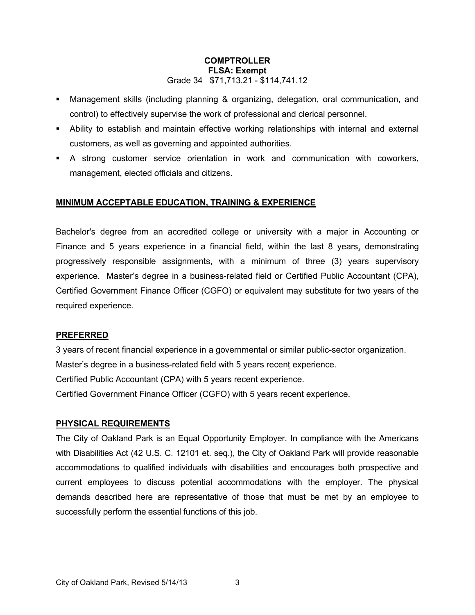- Management skills (including planning & organizing, delegation, oral communication, and control) to effectively supervise the work of professional and clerical personnel.
- Ability to establish and maintain effective working relationships with internal and external customers, as well as governing and appointed authorities.
- A strong customer service orientation in work and communication with coworkers, management, elected officials and citizens.

# **MINIMUM ACCEPTABLE EDUCATION, TRAINING & EXPERIENCE**

Bachelor's degree from an accredited college or university with a major in Accounting or Finance and 5 years experience in a financial field, within the last 8 years, demonstrating progressively responsible assignments, with a minimum of three (3) years supervisory experience. Master's degree in a business-related field or Certified Public Accountant (CPA), Certified Government Finance Officer (CGFO) or equivalent may substitute for two years of the required experience.

# **PREFERRED**

3 years of recent financial experience in a governmental or similar public-sector organization. Master's degree in a business-related field with 5 years recent experience. Certified Public Accountant (CPA) with 5 years recent experience. Certified Government Finance Officer (CGFO) with 5 years recent experience.

# **PHYSICAL REQUIREMENTS**

The City of Oakland Park is an Equal Opportunity Employer. In compliance with the Americans with Disabilities Act (42 U.S. C. 12101 et. seq.), the City of Oakland Park will provide reasonable accommodations to qualified individuals with disabilities and encourages both prospective and current employees to discuss potential accommodations with the employer. The physical demands described here are representative of those that must be met by an employee to successfully perform the essential functions of this job.